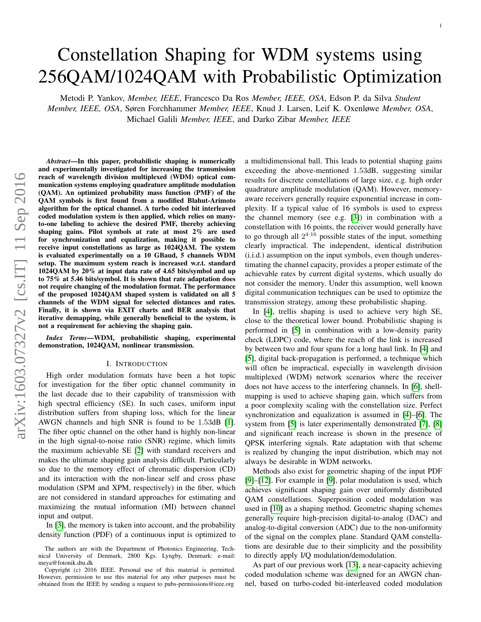# Constellation Shaping for WDM systems using 256QAM/1024QAM with Probabilistic Optimization

Metodi P. Yankov, *Member, IEEE*, Francesco Da Ros *Member, IEEE, OSA*, Edson P. da Silva *Student Member, IEEE, OSA*, Søren Forchhammer *Member, IEEE*, Knud J. Larsen, Leif K. Oxenløwe *Member, OSA*, Michael Galili *Member, IEEE*, and Darko Zibar *Member, IEEE*

*Abstract*—In this paper, probabilistic shaping is numerically and experimentally investigated for increasing the transmission reach of wavelength division multiplexed (WDM) optical communication systems employing quadrature amplitude modulation (QAM). An optimized probability mass function (PMF) of the QAM symbols is first found from a modified Blahut-Arimoto algorithm for the optical channel. A turbo coded bit interleaved coded modulation system is then applied, which relies on manyto-one labeling to achieve the desired PMF, thereby achieving shaping gains. Pilot symbols at rate at most 2% are used for synchronization and equalization, making it possible to receive input constellations as large as 1024QAM. The system is evaluated experimentally on a 10 GBaud, 5 channels WDM setup. The maximum system reach is increased w.r.t. standard 1024QAM by 20% at input data rate of 4.65 bits/symbol and up to 75% at 5.46 bits/symbol. It is shown that rate adaptation does not require changing of the modulation format. The performance of the proposed 1024QAM shaped system is validated on all 5 channels of the WDM signal for selected distances and rates. Finally, it is shown via EXIT charts and BER analysis that iterative demapping, while generally beneficial to the system, is not a requirement for achieving the shaping gain.

*Index Terms*—WDM, probabilistic shaping, experimental demonstration, 1024QAM, nonlinear transmission.

#### I. INTRODUCTION

High order modulation formats have been a hot topic for investigation for the fiber optic channel community in the last decade due to their capability of transmission with high spectral efficiency (SE). In such cases, uniform input distribution suffers from shaping loss, which for the linear AWGN channels and high SNR is found to be 1.53dB [\[1\]](#page-9-0). The fiber optic channel on the other hand is highly non-linear in the high signal-to-noise ratio (SNR) regime, which limits the maximum achievable SE [\[2\]](#page-9-1) with standard receivers and makes the ultimate shaping gain analysis difficult. Particularly so due to the memory effect of chromatic dispersion (CD) and its interaction with the non-linear self and cross phase modulation (SPM and XPM, respectively) in the fiber, which are not considered in standard approaches for estimating and maximizing the mutual information (MI) between channel input and output.

In [\[3\]](#page-9-2), the memory is taken into account, and the probability density function (PDF) of a continuous input is optimized to a multidimensional ball. This leads to potential shaping gains exceeding the above-mentioned 1.53dB, suggesting similar results for discrete constellations of large size, e.g. high order quadrature amplitude modulation (QAM). However, memoryaware receivers generally require exponential increase in complexity. If a typical value of 16 symbols is used to express the channel memory (see e.g. [\[3\]](#page-9-2)) in combination with a constellation with 16 points, the receiver would generally have to go through all  $2^{4 \cdot 16}$  possible states of the input, something clearly impractical. The independent, identical distribution (i.i.d.) assumption on the input symbols, even though underestimating the channel capacity, provides a proper estimate of the achievable rates by current digital systems, which usually do not consider the memory. Under this assumption, well known digital communication techniques can be used to optimize the transmission strategy, among these probabilistic shaping.

In [\[4\]](#page-9-3), trellis shaping is used to achieve very high SE, close to the theoretical lower bound. Probabilistic shaping is performed in [\[5\]](#page-9-4) in combination with a low-density parity check (LDPC) code, where the reach of the link is increased by between two and four spans for a long haul link. In [\[4\]](#page-9-3) and [\[5\]](#page-9-4), digital back-propagation is performed, a technique which will often be impractical, especially in wavelength division multiplexed (WDM) network scenarios where the receiver does not have access to the interfering channels. In [\[6\]](#page-9-5), shellmapping is used to achieve shaping gain, which suffers from a poor complexity scaling with the constellation size. Perfect synchronization and equalization is assumed in [\[4\]](#page-9-3)–[\[6\]](#page-9-5). The system from [\[5\]](#page-9-4) is later experimentally demonstrated [\[7\]](#page-9-6), [\[8\]](#page-9-7) and significant reach increase is shown in the presence of QPSK interfering signals. Rate adaptation with that scheme is realized by changing the input distribution, which may not always be desirable in WDM networks.

Methods also exist for geometric shaping of the input PDF [\[9\]](#page-9-8)–[\[12\]](#page-9-9). For example in [\[9\]](#page-9-8), polar modulation is used, which achieves significant shaping gain over uniformly distributed QAM constellations. Superposition coded modulation was used in [\[10\]](#page-9-10) as a shaping method. Geometric shaping schemes generally require high-precision digital-to-analog (DAC) and analog-to-digital conversion (ADC) due to the non-uniformity of the signal on the complex plane. Standard QAM constellations are desirable due to their simplicity and the possibility to directly apply I/Q modulation/demodulation.

As part of our previous work [\[13\]](#page-9-11), a near-capacity achieving coded modulation scheme was designed for an AWGN channel, based on turbo-coded bit-interleaved coded modulation

The authors are with the Department of Photonics Engineering, Technical University of Denmark, 2800 Kgs. Lyngby, Denmark: e-mail: meya@fotonik.dtu.dk

Copyright (c) 2016 IEEE. Personal use of this material is permitted. However, permission to use this material for any other purposes must be obtained from the IEEE by sending a request to pubs-permissions@ieee.org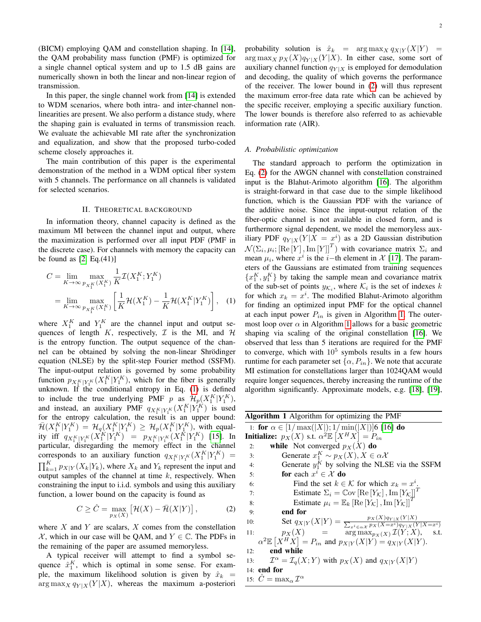(BICM) employing QAM and constellation shaping. In [\[14\]](#page-9-12), the QAM probability mass function (PMF) is optimized for a single channel optical system and up to 1.5 dB gains are numerically shown in both the linear and non-linear region of transmission.

In this paper, the single channel work from [\[14\]](#page-9-12) is extended to WDM scenarios, where both intra- and inter-channel nonlinearities are present. We also perform a distance study, where the shaping gain is evaluated in terms of transmission reach. We evaluate the achievable MI rate after the synchronization and equalization, and show that the proposed turbo-coded scheme closely approaches it.

The main contribution of this paper is the experimental demonstration of the method in a WDM optical fiber system with 5 channels. The performance on all channels is validated for selected scenarios.

## II. THEORETICAL BACKGROUND

In information theory, channel capacity is defined as the maximum MI between the channel input and output, where the maximization is performed over all input PDF (PMF in the discrete case). For channels with memory the capacity can be found as  $[2, Eq.(41)]$  $[2, Eq.(41)]$ 

$$
C = \lim_{K \to \infty} \max_{p_{X_1^K}(X_1^K)} \frac{1}{K} \mathcal{I}(X_1^K; Y_1^K)
$$
  
= 
$$
\lim_{K \to \infty} \max_{p_{X_1^K}(X_1^K)} \left[ \frac{1}{K} \mathcal{H}(X_1^K) - \frac{1}{K} \mathcal{H}(X_1^K | Y_1^K) \right], \quad (1)
$$

where  $X_1^K$  and  $Y_1^K$  are the channel input and output sequences of length  $K$ , respectively,  $\mathcal I$  is the MI, and  $\mathcal H$ is the entropy function. The output sequence of the channel can be obtained by solving the non-linear Shrödinger equation (NLSE) by the split-step Fourier method (SSFM). The input-output relation is governed by some probability function  $p_{X_1^K|Y_1^K}(X_1^K|Y_1^K)$ , which for the fiber is generally unknown. If the conditional entropy in Eq. [\(1\)](#page-1-0) is defined to include the true underlying PMF p as  $\mathcal{H}_p(X_1^K|Y_1^K)$ , and instead, an auxiliary PMF  $q_{X_1^K|Y_1^K}(X_1^K|Y_1^K)$  is used for the entropy calculation, the result is an upper bound:  $\overline{\mathcal{H}}(X_1^K | Y_1^K) = \mathcal{H}_q(X_1^K | Y_1^K) \geq \mathcal{H}_p(X_1^K | Y_1^K)$ , with equality iff  $q_{X_1^K|Y_1^K}(X_1^K|Y_1^K) = p_{X_1^K|Y_1^K}(X_1^K|Y_1^K)$  [\[15\]](#page-9-13). In particular, disregarding the memory effect in the channel corresponds to an auxiliary function  $q_{X_1^K|Y_1^K}(X_1^K|Y_1^K) =$  $\prod_{k=1}^{K} p_{X|Y}(X_k|Y_k)$ , where  $X_k$  and  $Y_k$  represent the input and output samples of the channel at time  $k$ , respectively. When constraining the input to i.i.d. symbols and using this auxiliary function, a lower bound on the capacity is found as

$$
C \geq \hat{C} = \max_{p_X(X)} \left[ \mathcal{H}(X) - \bar{\mathcal{H}}(X|Y) \right],\tag{2}
$$

where  $X$  and  $Y$  are scalars,  $X$  comes from the constellation X, which in our case will be QAM, and  $Y \in \mathbb{C}$ . The PDFs in the remaining of the paper are assumed memoryless.

A typical receiver will attempt to find a symbol sequence  $\hat{x}_1^K$ , which is optimal in some sense. For example, the maximum likelihood solution is given by  $\hat{x}_k$  = arg max<sub>X</sub>  $q_{Y|X}(Y|X)$ , whereas the maximum a-posteriori

probability solution is  $\hat{x}_k$  = arg max  $q_{X|Y}(X|Y)$  =  $\arg \max_{X} p_X(X) q_{Y|X}(Y|X)$ . In either case, some sort of auxiliary channel function  $q_{Y|X}$  is employed for demodulation and decoding, the quality of which governs the performance of the receiver. The lower bound in [\(2\)](#page-1-1) will thus represent the maximum error-free data rate which can be achieved by the specific receiver, employing a specific auxiliary function. The lower bounds is therefore also referred to as achievable information rate (AIR).

#### <span id="page-1-3"></span>*A. Probabilistic optimization*

The standard approach to perform the optimization in Eq. [\(2\)](#page-1-1) for the AWGN channel with constellation constrained input is the Blahut-Arimoto algorithm [\[16\]](#page-9-14). The algorithm is straight-forward in that case due to the simple likelihood function, which is the Gaussian PDF with the variance of the additive noise. Since the input-output relation of the fiber-optic channel is not available in closed form, and is furthermore signal dependent, we model the memoryless auxiliary PDF  $q_{Y|X}(Y|X=x^i)$  as a 2D Gaussian distribution  $\mathcal{N}(\Sigma_i, \mu_i; [\text{Re}[Y], \text{Im}[Y]]^T)$  with covariance matrix  $\Sigma_i$  and mean  $\mu_i$ , where  $x^i$  is the *i*-th element in  $\mathcal{X}$  [\[17\]](#page-9-15). The parameters of the Gaussians are estimated from training sequences  ${x_1^K, y_1^K}$  by taking the sample mean and covariance matrix of the sub-set of points  $y_{\mathcal{K}_i}$ , where  $\mathcal{K}_i$  is the set of indexes k for which  $x_k = x^i$ . The modified Blahut-Arimoto algorithm for finding an optimized input PMF for the optical channel at each input power  $P_{in}$  is given in Algorithm [1.](#page-1-2) The outermost loop over  $\alpha$  in Algorithm [1](#page-1-2) allows for a basic geometric shaping via scaling of the original constellation [\[16\]](#page-9-14). We observed that less than 5 iterations are required for the PMF to converge, which with  $10^5$  symbols results in a few hours runtime for each parameter set  $\{\alpha, P_{in}\}\)$ . We note that accurate MI estimation for constellations larger than 1024QAM would require longer sequences, thereby increasing the runtime of the algorithm significantly. Approximate models, e.g. [\[18\]](#page-9-16), [\[19\]](#page-9-17),

<span id="page-1-2"></span><span id="page-1-1"></span><span id="page-1-0"></span>

| Algorithm 1 Algorithm for optimizing the PMF                                                              |
|-----------------------------------------------------------------------------------------------------------|
| 1: for $\alpha \in [1/\max( X ); 1/\min( X )]$ [16] do                                                    |
| <b>Initialize:</b> $p_X(X)$ s.t. $\alpha^2 \mathbb{E}[X^H X] = P_{in}$                                    |
| while Not converged $p_X(X)$ do<br>2:                                                                     |
| Generate $x_1^K \sim p_X(X), X \in \alpha \mathcal{X}$<br>3:                                              |
| Generate $y_1^K$ by solving the NLSE via the SSFM<br>4:                                                   |
| for each $x^i \in \mathcal{X}$ do<br>5:                                                                   |
| Find the set $k \in \mathcal{K}$ for which $x_k = x^i$ .<br>6:                                            |
| Estimate $\Sigma_i = \text{Cov}[\text{Re}[Y_{\mathcal{K}}], \text{Im}[Y_{\mathcal{K}}]]^T$<br>7:          |
| Estimate $\mu_i = \mathbb{E}_k [\text{Re}[Y_{\mathcal{K}}], \text{Im}[Y_{\mathcal{K}}]]$<br>8:            |
| end for<br>9:                                                                                             |
| Set $q_{X Y}(X Y) = \frac{p_X(X)q_{Y X}(Y X)}{\sum_{x^i \in \alpha X} p_X(X=x^i)q_{Y X}(Y X=x^i)}$<br>10: |
| $p_X(X)$ = $arg max_{p_X(X)} \mathcal{I}(Y; X),$<br>11:<br>s.t.                                           |
| $\alpha^2 \mathbb{E} \left[ X^H X \right] = P_{in}$ and $p_{X Y}(X Y) = q_{X Y}(X Y)$ .                   |
| end while<br>12:                                                                                          |
| $\mathcal{I}^{\alpha} = \mathcal{I}_{q}(X; Y)$ with $p_X(X)$ and $q_{X Y}(X Y)$<br>13:                    |
| 14: end for                                                                                               |
| 15: $\ddot{C} = \max_{\alpha} \mathcal{I}^{\alpha}$                                                       |
|                                                                                                           |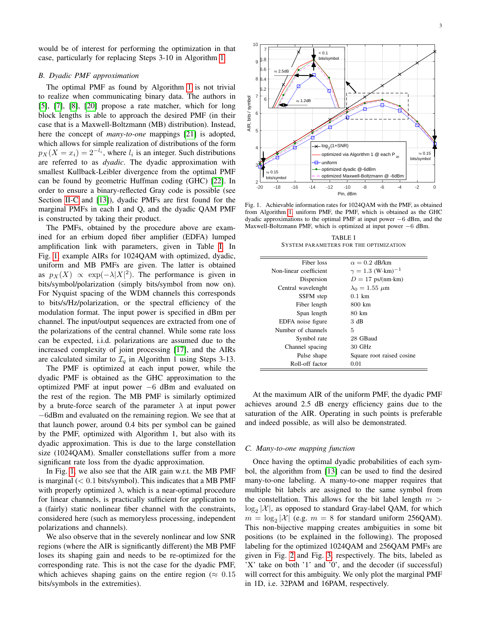would be of interest for performing the optimization in that case, particularly for replacing Steps 3-10 in Algorithm [1.](#page-1-2)

#### *B. Dyadic PMF approximation*

The optimal PMF as found by Algorithm [1](#page-1-2) is not trivial to realize when communicating binary data. The authors in [\[5\]](#page-9-4), [\[7\]](#page-9-6), [\[8\]](#page-9-7), [\[20\]](#page-9-18) propose a rate matcher, which for long block lengths is able to approach the desired PMF (in their case that is a Maxwell-Boltzmann (MB) distribution). Instead, here the concept of *many-to-one* mappings [\[21\]](#page-9-19) is adopted, which allows for simple realization of distributions of the form  $p_X(X = x_i) = 2^{-l_i}$ , where  $l_i$  is an integer. Such distributions are referred to as *dyadic*. The dyadic approximation with smallest Kullback-Leibler divergence from the optimal PMF can be found by geometric Huffman coding (GHC) [\[22\]](#page-9-20). In order to ensure a binary-reflected Gray code is possible (see Section [II-C](#page-2-0) and [\[13\]](#page-9-11)), dyadic PMFs are first found for the marginal PMFs in each I and Q, and the dyadic QAM PMF is constructed by taking their product.

The PMFs, obtained by the procedure above are examined for an erbium doped fiber amplifier (EDFA) lumped amplification link with parameters, given in Table [I.](#page-2-1) In Fig. [1,](#page-2-2) example AIRs for 1024QAM with optimized, dyadic, uniform and MB PMFs are given. The latter is obtained as  $p_X(X) \propto \exp(-\lambda |X|^2)$ . The performance is given in bits/symbol/polarization (simply bits/symbol from now on). For Nyquist spacing of the WDM channels this corresponds to bits/s/Hz/polarization, or the spectral efficiency of the modulation format. The input power is specified in dBm per channel. The input/output sequences are extracted from one of the polarizations of the central channel. While some rate loss can be expected, i.i.d. polarizations are assumed due to the increased complexity of joint processing [\[17\]](#page-9-15), and the AIRs are calculated similar to  $\mathcal{I}_q$  in Algorithm 1 using Steps 3-13.

The PMF is optimized at each input power, while the dyadic PMF is obtained as the GHC approximation to the optimized PMF at input power −6 dBm and evaluated on the rest of the region. The MB PMF is similarly optimized by a brute-force search of the parameter  $\lambda$  at input power −6dBm and evaluated on the remaining region. We see that at that launch power, around 0.4 bits per symbol can be gained by the PMF, optimized with Algorithm 1, but also with its dyadic approximation. This is due to the large constellation size (1024QAM). Smaller constellations suffer from a more significant rate loss from the dyadic approximation.

In Fig. [1,](#page-2-2) we also see that the AIR gain w.r.t. the MB PMF is marginal  $(< 0.1$  bits/symbol). This indicates that a MB PMF with properly optimized  $\lambda$ , which is a near-optimal procedure for linear channels, is practically sufficient for application to a (fairly) static nonlinear fiber channel with the constraints, considered here (such as memoryless processing, independent polarizations and channels).

We also observe that in the severely nonlinear and low SNR regions (where the AIR is significantly different) the MB PMF loses its shaping gain and needs to be re-optimized for the corresponding rate. This is not the case for the dyadic PMF, which achieves shaping gains on the entire region ( $\approx 0.15$ ) bits/symbols in the extremities).



<span id="page-2-2"></span>Fig. 1. Achievable information rates for 1024QAM with the PMF, as obtained from Algorithm [1,](#page-1-2) uniform PMF, the PMF, which is obtained as the GHC dyadic approximations to the optimal PMF at input power −6 dBm, and the Maxwell-Boltzmann PMF, which is optimized at input power −6 dBm.

TABLE I SYSTEM PARAMETERS FOR THE OPTIMIZATION

<span id="page-2-1"></span>

| Fiber loss             | $\alpha = 0.2$ dB/km                |
|------------------------|-------------------------------------|
| Non-linear coefficient | $\gamma = 1.3$ (W·km) <sup>-1</sup> |
| Dispersion             | $D = 17$ ps/(nm·km)                 |
| Central wavelenght     | $\lambda_0 = 1.55 \mu m$            |
| SSFM step              | $0.1 \text{ km}$                    |
| Fiber length           | 800 km                              |
| Span length            | 80 km                               |
| EDFA noise figure      | 3 dB                                |
| Number of channels     | 5                                   |
| Symbol rate            | 28 GBaud                            |
| Channel spacing        | $30$ GHz                            |
| Pulse shape            | Square root raised cosine           |
| Roll-off factor        | 0.01                                |

At the maximum AIR of the uniform PMF, the dyadic PMF achieves around 2.5 dB energy efficiency gains due to the saturation of the AIR. Operating in such points is preferable and indeed possible, as will also be demonstrated.

## <span id="page-2-0"></span>*C. Many-to-one mapping function*

Once having the optimal dyadic probabilities of each symbol, the algorithm from [\[13\]](#page-9-11) can be used to find the desired many-to-one labeling. A many-to-one mapper requires that multiple bit labels are assigned to the same symbol from the constellation. This allows for the bit label length  $m >$  $\log_2 |\mathcal{X}|$ , as opposed to standard Gray-label QAM, for which  $m = \log_2 |\mathcal{X}|$  (e.g.  $m = 8$  for standard uniform 256QAM). This non-bijective mapping creates ambiguities in some bit positions (to be explained in the following). The proposed labeling for the optimized 1024QAM and 256QAM PMFs are given in Fig. [2](#page-3-0) and Fig. [3,](#page-3-1) respectively. The bits, labeled as 'X' take on both '1' and '0', and the decoder (if successful) will correct for this ambiguity. We only plot the marginal PMF in 1D, i.e. 32PAM and 16PAM, respectively.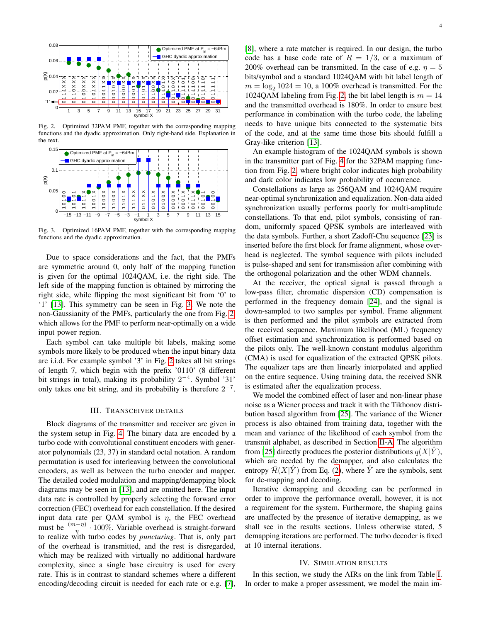

<span id="page-3-0"></span>Fig. 2. Optimized 32PAM PMF, together with the corresponding mapping functions and the dyadic approximation. Only right-hand side. Explanation in the text.



<span id="page-3-1"></span>Fig. 3. Optimized 16PAM PMF, together with the corresponding mapping functions and the dyadic approximation.

Due to space considerations and the fact, that the PMFs are symmetric around 0, only half of the mapping function is given for the optimal 1024QAM, i.e. the right side. The left side of the mapping function is obtained by mirroring the right side, while flipping the most significant bit from '0' to '1' [\[13\]](#page-9-11). This symmetry can be seen in Fig. [3.](#page-3-1) We note the non-Gaussianity of the PMFs, particularly the one from Fig. [2,](#page-3-0) which allows for the PMF to perform near-optimally on a wide input power region.

Each symbol can take multiple bit labels, making some symbols more likely to be produced when the input binary data are i.i.d. For example symbol '3' in Fig. [2](#page-3-0) takes all bit strings of length 7, which begin with the prefix '0110' (8 different bit strings in total), making its probability  $2^{-4}$ . Symbol '31' only takes one bit string, and its probability is therefore  $2^{-7}$ .

## III. TRANSCEIVER DETAILS

Block diagrams of the transmitter and receiver are given in the system setup in Fig. [4.](#page-4-0) The binary data are encoded by a turbo code with convolutional constituent encoders with generator polynomials (23, 37) in standard octal notation. A random permutation is used for interleaving between the convolutional encoders, as well as between the turbo encoder and mapper. The detailed coded modulation and mapping/demapping block diagrams may be seen in [\[13\]](#page-9-11), and are omitted here. The input data rate is controlled by properly selecting the forward error correction (FEC) overhead for each constellation. If the desired input data rate per QAM symbol is  $\eta$ , the FEC overhead must be  $\frac{(m-\eta)}{\eta} \cdot 100\%$ . Variable overhead is straight-forward to realize with turbo codes by *puncturing*. That is, only part of the overhead is transmitted, and the rest is disregarded, which may be realized with virtually no additional hardware complexity, since a single base circuitry is used for every rate. This is in contrast to standard schemes where a different encoding/decoding circuit is needed for each rate or e.g. [\[7\]](#page-9-6), [\[8\]](#page-9-7), where a rate matcher is required. In our design, the turbo code has a base code rate of  $R = 1/3$ , or a maximum of 200% overhead can be transmitted. In the case of e.g.  $\eta = 5$ bits/symbol and a standard 1024QAM with bit label length of  $m = \log_2 1024 = 10$ , a 100% overhead is transmitted. For the 1024QAM labeling from Fig. [2,](#page-3-0) the bit label length is  $m = 14$ and the transmitted overhead is 180%. In order to ensure best performance in combination with the turbo code, the labeling needs to have unique bits connected to the systematic bits of the code, and at the same time those bits should fulfill a Gray-like criterion [\[13\]](#page-9-11).

An example histogram of the 1024QAM symbols is shown in the transmitter part of Fig. [4](#page-4-0) for the 32PAM mapping function from Fig. [2,](#page-3-0) where bright color indicates high probability and dark color indicates low probability of occurrence.

Constellations as large as 256QAM and 1024QAM require near-optimal synchronization and equalization. Non-data aided synchronization usually performs poorly for multi-amplitude constellations. To that end, pilot symbols, consisting of random, uniformly spaced QPSK symbols are interleaved with the data symbols. Further, a short Zadoff-Chu sequence [\[23\]](#page-9-21) is inserted before the first block for frame alignment, whose overhead is neglected. The symbol sequence with pilots included is pulse-shaped and sent for transmission after combining with the orthogonal polarization and the other WDM channels.

At the receiver, the optical signal is passed through a low-pass filter, chromatic dispersion (CD) compensation is performed in the frequency domain [\[24\]](#page-9-22), and the signal is down-sampled to two samples per symbol. Frame alignment is then performed and the pilot symbols are extracted from the received sequence. Maximum likelihood (ML) frequency offset estimation and synchronization is performed based on the pilots only. The well-known constant modulus algorithm (CMA) is used for equalization of the extracted QPSK pilots. The equalizer taps are then linearly interpolated and applied on the entire sequence. Using training data, the received SNR is estimated after the equalization process.

We model the combined effect of laser and non-linear phase noise as a Wiener process and track it with the Tikhonov distribution based algorithm from [\[25\]](#page-9-23). The variance of the Wiener process is also obtained from training data, together with the mean and variance of the likelihood of each symbol from the transmit alphabet, as described in Section [II-A.](#page-1-3) The algorithm from [\[25\]](#page-9-23) directly produces the posterior distributions  $q(X|Y)$ , which are needed by the demapper, and also calculates the entropy  $\overline{\mathcal{H}}(X|\hat{Y})$  from Eq. [\(2\)](#page-1-1), where  $\hat{Y}$  are the symbols, sent for de-mapping and decoding.

Iterative demapping and decoding can be performed in order to improve the performance overall, however, it is not a requirement for the system. Furthermore, the shaping gains are unaffected by the presence of iterative demapping, as we shall see in the results sections. Unless otherwise stated, 5 demapping iterations are performed. The turbo decoder is fixed at 10 internal iterations.

#### IV. SIMULATION RESULTS

In this section, we study the AIRs on the link from Table [I.](#page-2-1) In order to make a proper assessment, we model the main im-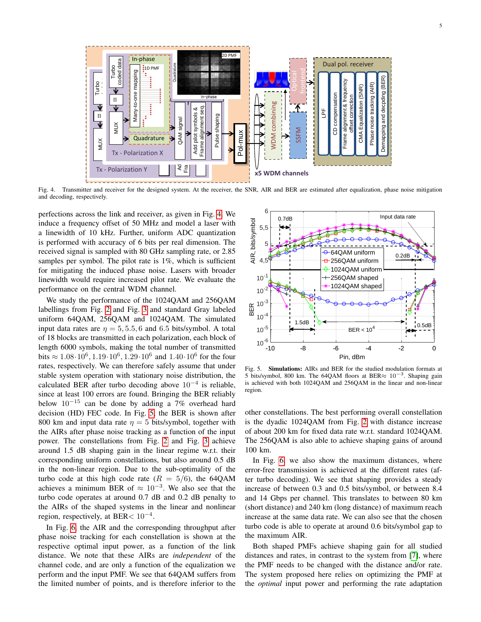

<span id="page-4-0"></span>Fig. 4. Transmitter and receiver for the designed system. At the receiver, the SNR, AIR and BER are estimated after equalization, phase noise mitigation and decoding, respectively.

perfections across the link and receiver, as given in Fig. [4.](#page-4-0) We induce a frequency offset of 50 MHz and model a laser with a linewidth of 10 kHz. Further, uniform ADC quantization is performed with accuracy of 6 bits per real dimension. The received signal is sampled with 80 GHz sampling rate, or 2.85 samples per symbol. The pilot rate is 1%, which is sufficient for mitigating the induced phase noise. Lasers with broader linewidth would require increased pilot rate. We evaluate the performance on the central WDM channel.

We study the performance of the 1024QAM and 256QAM labellings from Fig. [2](#page-3-0) and Fig. [3](#page-3-1) and standard Gray labeled uniform 64QAM, 256QAM and 1024QAM. The simulated input data rates are  $\eta = 5, 5.5, 6$  and 6.5 bits/symbol. A total of 18 blocks are transmitted in each polarization, each block of length 6000 symbols, making the total number of transmitted bits  $\approx 1.08 \cdot 10^6$ ,  $1.19 \cdot 10^6$ ,  $1.29 \cdot 10^6$  and  $1.40 \cdot 10^6$  for the four rates, respectively. We can therefore safely assume that under stable system operation with stationary noise distribution, the calculated BER after turbo decoding above  $10^{-4}$  is reliable, since at least 100 errors are found. Bringing the BER reliably below 10<sup>−</sup><sup>15</sup> can be done by adding a 7% overhead hard decision (HD) FEC code. In Fig. [5,](#page-4-1) the BER is shown after 800 km and input data rate  $\eta = 5$  bits/symbol, together with the AIRs after phase noise tracking as a function of the input power. The constellations from Fig. [2](#page-3-0) and Fig. [3](#page-3-1) achieve around 1.5 dB shaping gain in the linear regime w.r.t. their corresponding uniform constellations, but also around 0.5 dB in the non-linear region. Due to the sub-optimality of the turbo code at this high code rate  $(R = 5/6)$ , the 64QAM achieves a minimum BER of  $\approx 10^{-3}$ . We also see that the turbo code operates at around 0.7 dB and 0.2 dB penalty to the AIRs of the shaped systems in the linear and nonlinear region, respectively, at BER<  $10^{-4}$ .

In Fig. [6,](#page-5-0) the AIR and the corresponding throughput after phase noise tracking for each constellation is shown at the respective optimal input power, as a function of the link distance. We note that these AIRs are *independent* of the channel code, and are only a function of the equalization we perform and the input PMF. We see that 64QAM suffers from the limited number of points, and is therefore inferior to the



<span id="page-4-1"></span>Fig. 5. Simulations: AIRs and BER for the studied modulation formats at 5 bits/symbol, 800 km. The 64QAM floors at BER $\approx 10^{-3}$ . Shaping gain is achieved with both 1024QAM and 256QAM in the linear and non-linear region.

other constellations. The best performing overall constellation is the dyadic 1024QAM from Fig. [2](#page-3-0) with distance increase of about 200 km for fixed data rate w.r.t. standard 1024QAM. The 256QAM is also able to achieve shaping gains of around 100 km.

In Fig. [6,](#page-5-0) we also show the maximum distances, where error-free transmission is achieved at the different rates (after turbo decoding). We see that shaping provides a steady increase of between 0.3 and 0.5 bits/symbol, or between 8.4 and 14 Gbps per channel. This translates to between 80 km (short distance) and 240 km (long distance) of maximum reach increase at the same data rate. We can also see that the chosen turbo code is able to operate at around 0.6 bits/symbol gap to the maximum AIR.

Both shaped PMFs achieve shaping gain for all studied distances and rates, in contrast to the system from [\[7\]](#page-9-6), where the PMF needs to be changed with the distance and/or rate. The system proposed here relies on optimizing the PMF at the *optimal* input power and performing the rate adaptation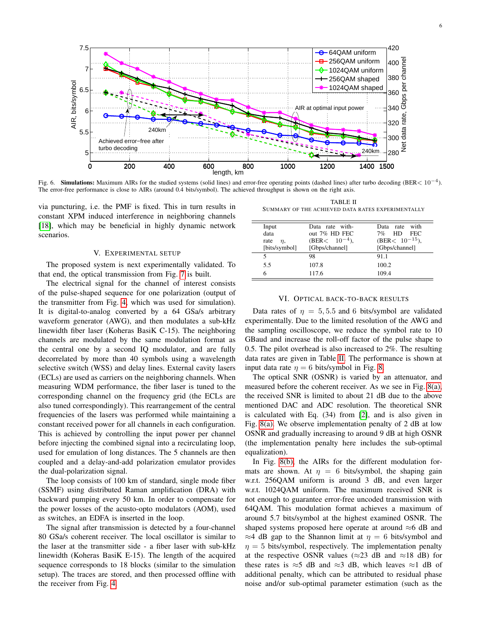

<span id="page-5-0"></span>Fig. 6. Simulations: Maximum AIRs for the studied systems (solid lines) and error-free operating points (dashed lines) after turbo decoding (BER<  $10^{-4}$ ). The error-free performance is close to AIRs (around 0.4 bits/symbol). The achieved throughput is shown on the right axis.

via puncturing, i.e. the PMF is fixed. This in turn results in constant XPM induced interference in neighboring channels [\[18\]](#page-9-16), which may be beneficial in highly dynamic network scenarios.

#### V. EXPERIMENTAL SETUP

The proposed system is next experimentally validated. To that end, the optical transmission from Fig. [7](#page-6-0) is built.

The electrical signal for the channel of interest consists of the pulse-shaped sequence for one polarization (output of the transmitter from Fig. [4,](#page-4-0) which was used for simulation). It is digital-to-analog converted by a 64 GSa/s arbitrary waveform generator (AWG), and then modulates a sub-kHz linewidth fiber laser (Koheras BasiK C-15). The neighboring channels are modulated by the same modulation format as the central one by a second IQ modulator, and are fully decorrelated by more than 40 symbols using a wavelength selective switch (WSS) and delay lines. External cavity lasers (ECLs) are used as carriers on the neighboring channels. When measuring WDM performance, the fiber laser is tuned to the corresponding channel on the frequency grid (the ECLs are also tuned correspondingly). This rearrangement of the central frequencies of the lasers was performed while maintaining a constant received power for all channels in each configuration. This is achieved by controlling the input power per channel before injecting the combined signal into a recirculating loop, used for emulation of long distances. The 5 channels are then coupled and a delay-and-add polarization emulator provides the dual-polarization signal.

The loop consists of 100 km of standard, single mode fiber (SSMF) using distributed Raman amplification (DRA) with backward pumping every 50 km. In order to compensate for the power losses of the acusto-opto modulators (AOM), used as switches, an EDFA is inserted in the loop.

The signal after transmission is detected by a four-channel 80 GSa/s coherent receiver. The local oscillator is similar to the laser at the transmitter side - a fiber laser with sub-kHz linewidth (Koheras BasiK E-15). The length of the acquired sequence corresponds to 18 blocks (similar to the simulation setup). The traces are stored, and then processed offline with the receiver from Fig. [4.](#page-4-0)

TABLE II SUMMARY OF THE ACHIEVED DATA RATES EXPERIMENTALLY

<span id="page-5-1"></span>

| Input           | Data rate with-   | with<br>Data rate   |
|-----------------|-------------------|---------------------|
| data            | out $7\%$ HD FEC  | HD FEC<br>$7\%$     |
| rate<br>$\eta,$ | $(BER< 10^{-4}),$ | (BER< $10^{-15}$ ), |
| [bits/symbol]   | [Gbps/channel]    | [Gbps/channel]      |
|                 | 98                | 91.1                |
| 5.5             | 107.8             | 100.2               |
| 6               | 117.6             | 109.4               |

## VI. OPTICAL BACK-TO-BACK RESULTS

Data rates of  $\eta = 5, 5.5$  and 6 bits/symbol are validated experimentally. Due to the limited resolution of the AWG and the sampling oscilloscope, we reduce the symbol rate to 10 GBaud and increase the roll-off factor of the pulse shape to 0.5. The pilot overhead is also increased to 2%. The resulting data rates are given in Table [II.](#page-5-1) The performance is shown at input data rate  $\eta = 6$  bits/symbol in Fig. [8.](#page-6-1)

The optical SNR (OSNR) is varied by an attenuator, and measured before the coherent receiver. As we see in Fig. [8\(a\),](#page-6-2) the received SNR is limited to about 21 dB due to the above mentioned DAC and ADC resolution. The theoretical SNR is calculated with Eq. (34) from [\[2\]](#page-9-1), and is also given in Fig. [8\(a\).](#page-6-2) We observe implementation penalty of 2 dB at low OSNR and gradually increasing to around 9 dB at high OSNR (the implementation penalty here includes the sub-optimal equalization).

In Fig. [8\(b\),](#page-6-3) the AIRs for the different modulation formats are shown. At  $\eta = 6$  bits/symbol, the shaping gain w.r.t. 256QAM uniform is around 3 dB, and even larger w.r.t. 1024QAM uniform. The maximum received SNR is not enough to guarantee error-free uncoded transmission with 64QAM. This modulation format achieves a maximum of around 5.7 bits/symbol at the highest examined OSNR. The shaped systems proposed here operate at around ≈6 dB and  $\approx$ 4 dB gap to the Shannon limit at  $\eta = 6$  bits/symbol and  $\eta = 5$  bits/symbol, respectively. The implementation penalty at the respective OSNR values ( $\approx$ 23 dB and  $\approx$ 18 dB) for these rates is  $\approx$ 5 dB and  $\approx$ 3 dB, which leaves  $\approx$ 1 dB of additional penalty, which can be attributed to residual phase noise and/or sub-optimal parameter estimation (such as the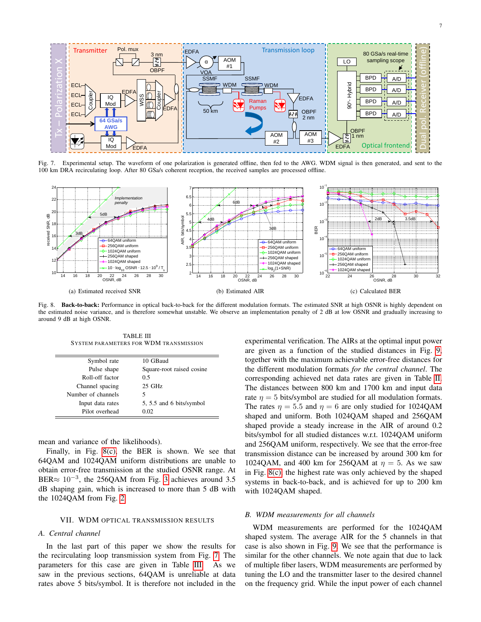

<span id="page-6-0"></span>Fig. 7. Experimental setup. The waveform of one polarization is generated offline, then fed to the AWG. WDM signal is then generated, and sent to the 100 km DRA recirculating loop. After 80 GSa/s coherent reception, the received samples are processed offline.

<span id="page-6-2"></span>

<span id="page-6-1"></span>Fig. 8. Back-to-back: Performance in optical back-to-back for the different modulation formats. The estimated SNR at high OSNR is highly dependent on the estimated noise variance, and is therefore somewhat unstable. We observe an implementation penalty of 2 dB at low OSNR and gradually increasing to around 9 dB at high OSNR.

TABLE III SYSTEM PARAMETERS FOR WDM TRANSMISSION

| Symbol rate        | 10 GBaud                  |
|--------------------|---------------------------|
| Pulse shape        | Square-root raised cosine |
| Roll-off factor    | 0.5                       |
| Channel spacing    | $25$ GHz                  |
| Number of channels | 5                         |
| Input data rates   | 5, 5.5 and 6 bits/symbol  |
| Pilot overhead     | 0.02                      |

mean and variance of the likelihoods).

Finally, in Fig. [8\(c\),](#page-6-4) the BER is shown. We see that 64QAM and 1024QAM uniform distributions are unable to obtain error-free transmission at the studied OSNR range. At BER $\approx 10^{-3}$ , the 256QAM from Fig. [3](#page-3-1) achieves around 3.5 dB shaping gain, which is increased to more than 5 dB with the 1024QAM from Fig. [2.](#page-3-0)

#### VII. WDM OPTICAL TRANSMISSION RESULTS

## *A. Central channel*

<span id="page-6-5"></span> $\equiv$ 

In the last part of this paper we show the results for the recirculating loop transmission system from Fig. [7.](#page-6-0) The parameters for this case are given in Table [III.](#page-6-5) As we saw in the previous sections, 64QAM is unreliable at data rates above 5 bits/symbol. It is therefore not included in the

<span id="page-6-4"></span><span id="page-6-3"></span>experimental verification. The AIRs at the optimal input power are given as a function of the studied distances in Fig. [9,](#page-7-0) together with the maximum achievable error-free distances for the different modulation formats *for the central channel*. The corresponding achieved net data rates are given in Table [II.](#page-5-1) The distances between 800 km and 1700 km and input data rate  $\eta = 5$  bits/symbol are studied for all modulation formats. The rates  $\eta = 5.5$  and  $\eta = 6$  are only studied for 1024QAM shaped and uniform. Both 1024QAM shaped and 256QAM shaped provide a steady increase in the AIR of around 0.2 bits/symbol for all studied distances w.r.t. 1024QAM uniform and 256QAM uniform, respectively. We see that the error-free transmission distance can be increased by around 300 km for 1024QAM, and 400 km for 256QAM at  $\eta = 5$ . As we saw in Fig. [8\(c\),](#page-6-4) the highest rate was only achieved by the shaped systems in back-to-back, and is achieved for up to 200 km with 1024QAM shaped.

## *B. WDM measurements for all channels*

WDM measurements are performed for the 1024QAM shaped system. The average AIR for the 5 channels in that case is also shown in Fig. [9.](#page-7-0) We see that the performance is similar for the other channels. We note again that due to lack of multiple fiber lasers, WDM measurements are performed by tuning the LO and the transmitter laser to the desired channel on the frequency grid. While the input power of each channel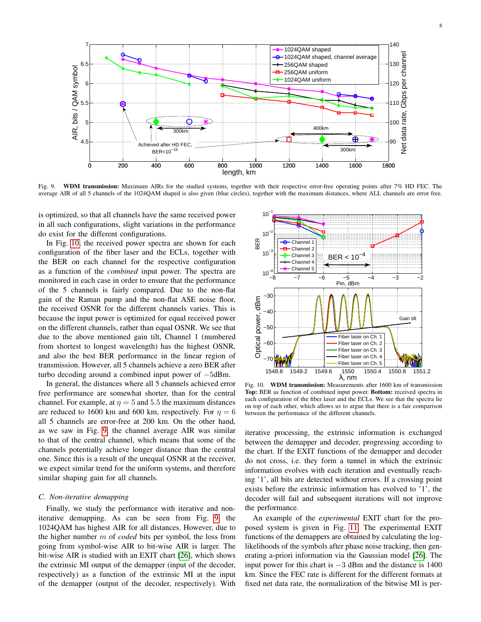

<span id="page-7-0"></span>Fig. 9. WDM transmission: Maximum AIRs for the studied systems, together with their respective error-free operating points after 7% HD FEC. The average AIR of all 5 channels of the 1024QAM shaped is also given (blue circles), together with the maximum distances, where ALL channels are error free.

is optimized, so that all channels have the same received power in all such configurations, slight variations in the performance do exist for the different configurations.

In Fig. [10,](#page-7-1) the received power spectra are shown for each configuration of the fiber laser and the ECLs, together with the BER on each channel for the respective configuration as a function of the *combined* input power. The spectra are monitored in each case in order to ensure that the performance of the 5 channels is fairly compared. Due to the non-flat gain of the Raman pump and the non-flat ASE noise floor, the received OSNR for the different channels varies. This is because the input power is optimized for equal received power on the different channels, rather than equal OSNR. We see that due to the above mentioned gain tilt, Channel 1 (numbered from shortest to longest wavelength) has the highest OSNR, and also the best BER performance in the linear region of transmission. However, all 5 channels achieve a zero BER after turbo decoding around a combined input power of −5dBm.

In general, the distances where all 5 channels achieved error free performance are somewhat shorter, than for the central channel. For example, at  $\eta = 5$  and 5.5 the maximum distances are reduced to 1600 km and 600 km, respectively. For  $\eta = 6$ all 5 channels are error-free at 200 km. On the other hand, as we saw in Fig. [9,](#page-7-0) the channel average AIR was similar to that of the central channel, which means that some of the channels potentially achieve longer distance than the central one. Since this is a result of the unequal OSNR at the receiver, we expect similar trend for the uniform systems, and therefore similar shaping gain for all channels.

#### <span id="page-7-2"></span>*C. Non-iterative demapping*

Finally, we study the performance with iterative and noniterative demapping. As can be seen from Fig. [9,](#page-7-0) the 1024QAM has highest AIR for all distances. However, due to the higher number m of *coded* bits per symbol, the loss from going from symbol-wise AIR to bit-wise AIR is larger. The bit-wise AIR is studied with an EXIT chart [\[26\]](#page-9-24), which shows the extrinsic MI output of the demapper (input of the decoder, respectively) as a function of the extrinsic MI at the input of the demapper (output of the decoder, respectively). With



<span id="page-7-1"></span>Fig. 10. WDM transmission: Measurements after 1600 km of transmission Top: BER as function of combined input power. Bottom: received spectra in each configuration of the fiber laser and the ECLs. We see that the spectra lie on top of each other, which allows us to argue that there is a fair comparison between the performance of the different channels.

iterative processing, the extrinsic information is exchanged between the demapper and decoder, progressing according to the chart. If the EXIT functions of the demapper and decoder do not cross, i.e. they form a tunnel in which the extrinsic information evolves with each iteration and eventually reaching '1', all bits are detected without errors. If a crossing point exists before the extrinsic information has evolved to '1', the decoder will fail and subsequent iterations will not improve the performance.

An example of the *experimental* EXIT chart for the proposed system is given in Fig. [11.](#page-8-0) The experimental EXIT functions of the demappers are obtained by calculating the loglikelihoods of the symbols after phase noise tracking, then generating a-priori information via the Gaussian model [\[26\]](#page-9-24). The input power for this chart is  $-3$  dBm and the distance is 1400 km. Since the FEC rate is different for the different formats at fixed net data rate, the normalization of the bitwise MI is per-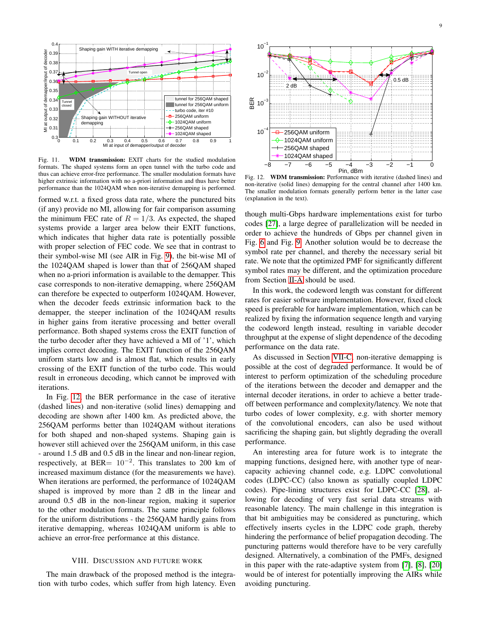

<span id="page-8-0"></span>Fig. 11. WDM transmission: EXIT charts for the studied modulation formats. The shaped systems form an open tunnel with the turbo code and thus can achieve error-free performance. The smaller modulation formats have higher extrinsic information with no a-priori information and thus have better performance than the 1024QAM when non-iterative demapping is performed.

formed w.r.t. a fixed gross data rate, where the punctured bits (if any) provide no MI, allowing for fair comparison assuming the minimum FEC rate of  $R = 1/3$ . As expected, the shaped systems provide a larger area below their EXIT functions, which indicates that higher data rate is potentially possible with proper selection of FEC code. We see that in contrast to their symbol-wise MI (see AIR in Fig. [9\)](#page-7-0), the bit-wise MI of the 1024QAM shaped is lower than that of 256QAM shaped when no a-priori information is available to the demapper. This case corresponds to non-iterative demapping, where 256QAM can therefore be expected to outperform 1024QAM. However, when the decoder feeds extrinsic information back to the demapper, the steeper inclination of the 1024QAM results in higher gains from iterative processing and better overall performance. Both shaped systems cross the EXIT function of the turbo decoder after they have achieved a MI of '1', which implies correct decoding. The EXIT function of the 256QAM uniform starts low and is almost flat, which results in early crossing of the EXIT function of the turbo code. This would result in erroneous decoding, which cannot be improved with iterations.

In Fig. [12,](#page-8-1) the BER performance in the case of iterative (dashed lines) and non-iterative (solid lines) demapping and decoding are shown after 1400 km. As predicted above, the 256QAM performs better than 1024QAM without iterations for both shaped and non-shaped systems. Shaping gain is however still achieved over the 256QAM uniform, in this case - around 1.5 dB and 0.5 dB in the linear and non-linear region, respectively, at BER=  $10^{-2}$ . This translates to 200 km of increased maximum distance (for the measurements we have). When iterations are performed, the performance of 1024QAM shaped is improved by more than 2 dB in the linear and around 0.5 dB in the non-linear region, making it superior to the other modulation formats. The same principle follows for the uniform distributions - the 256QAM hardly gains from iterative demapping, whereas 1024QAM uniform is able to achieve an error-free performance at this distance.

## VIII. DISCUSSION AND FUTURE WORK

The main drawback of the proposed method is the integration with turbo codes, which suffer from high latency. Even



<span id="page-8-1"></span>Fig. 12. WDM transmission: Performance with iterative (dashed lines) and non-iterative (solid lines) demapping for the central channel after 1400 km. The smaller modulation formats generally perform better in the latter case (explanation in the text).

though multi-Gbps hardware implementations exist for turbo codes [\[27\]](#page-9-25), a large degree of parallelization will be needed in order to achieve the hundreds of Gbps per channel given in Fig. [6](#page-5-0) and Fig. [9.](#page-7-0) Another solution would be to decrease the symbol rate per channel, and thereby the necessary serial bit rate. We note that the optimized PMF for significantly different symbol rates may be different, and the optimization procedure from Section [II-A](#page-1-3) should be used.

In this work, the codeword length was constant for different rates for easier software implementation. However, fixed clock speed is preferable for hardware implementation, which can be realized by fixing the information sequence length and varying the codeword length instead, resulting in variable decoder throughput at the expense of slight dependence of the decoding performance on the data rate.

As discussed in Section [VII-C,](#page-7-2) non-iterative demapping is possible at the cost of degraded performance. It would be of interest to perform optimization of the scheduling procedure of the iterations between the decoder and demapper and the internal decoder iterations, in order to achieve a better tradeoff between performance and complexity/latency. We note that turbo codes of lower complexity, e.g. with shorter memory of the convolutional encoders, can also be used without sacrificing the shaping gain, but slightly degrading the overall performance.

An interesting area for future work is to integrate the mapping functions, designed here, with another type of nearcapacity achieving channel code, e.g. LDPC convolutional codes (LDPC-CC) (also known as spatially coupled LDPC codes). Pipe-lining structures exist for LDPC-CC [\[28\]](#page-9-26), allowing for decoding of very fast serial data streams with reasonable latency. The main challenge in this integration is that bit ambiguities may be considered as puncturing, which effectively inserts cycles in the LDPC code graph, thereby hindering the performance of belief propagation decoding. The puncturing patterns would therefore have to be very carefully designed. Alternatively, a combination of the PMFs, designed in this paper with the rate-adaptive system from [\[7\]](#page-9-6), [\[8\]](#page-9-7), [\[20\]](#page-9-18) would be of interest for potentially improving the AIRs while avoiding puncturing.